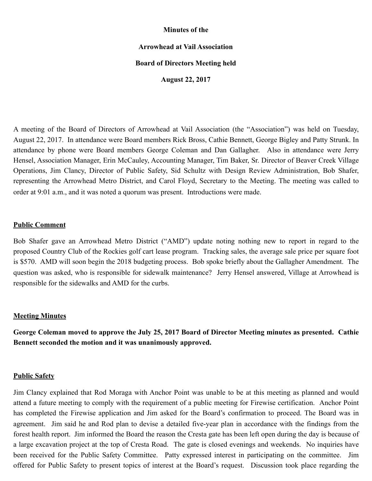### **Minutes of the**

# **Arrowhead at Vail Association**

### **Board of Directors Meeting held**

**August 22, 2017** 

A meeting of the Board of Directors of Arrowhead at Vail Association (the "Association") was held on Tuesday, August 22, 2017. In attendance were Board members Rick Bross, Cathie Bennett, George Bigley and Patty Strunk. In attendance by phone were Board members George Coleman and Dan Gallagher. Also in attendance were Jerry Hensel, Association Manager, Erin McCauley, Accounting Manager, Tim Baker, Sr. Director of Beaver Creek Village Operations, Jim Clancy, Director of Public Safety, Sid Schultz with Design Review Administration, Bob Shafer, representing the Arrowhead Metro District, and Carol Floyd, Secretary to the Meeting. The meeting was called to order at 9:01 a.m., and it was noted a quorum was present. Introductions were made.

### **Public Comment**

Bob Shafer gave an Arrowhead Metro District ("AMD") update noting nothing new to report in regard to the proposed Country Club of the Rockies golf cart lease program. Tracking sales, the average sale price per square foot is \$570. AMD will soon begin the 2018 budgeting process. Bob spoke briefly about the Gallagher Amendment. The question was asked, who is responsible for sidewalk maintenance? Jerry Hensel answered, Village at Arrowhead is responsible for the sidewalks and AMD for the curbs.

#### **Meeting Minutes**

**George Coleman moved to approve the July 25, 2017 Board of Director Meeting minutes as presented. Cathie Bennett seconded the motion and it was unanimously approved.** 

#### **Public Safety**

Jim Clancy explained that Rod Moraga with Anchor Point was unable to be at this meeting as planned and would attend a future meeting to comply with the requirement of a public meeting for Firewise certification. Anchor Point has completed the Firewise application and Jim asked for the Board's confirmation to proceed. The Board was in agreement. Jim said he and Rod plan to devise a detailed five-year plan in accordance with the findings from the forest health report. Jim informed the Board the reason the Cresta gate has been left open during the day is because of a large excavation project at the top of Cresta Road. The gate is closed evenings and weekends. No inquiries have been received for the Public Safety Committee. Patty expressed interest in participating on the committee. Jim offered for Public Safety to present topics of interest at the Board's request. Discussion took place regarding the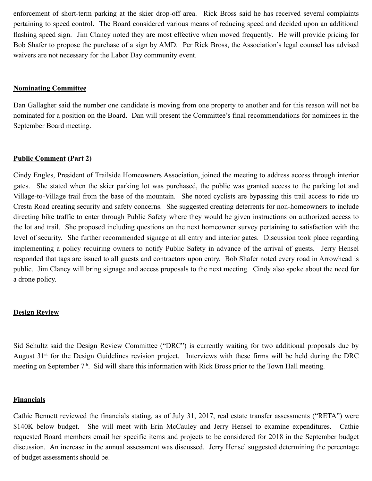enforcement of short-term parking at the skier drop-off area. Rick Bross said he has received several complaints pertaining to speed control. The Board considered various means of reducing speed and decided upon an additional flashing speed sign. Jim Clancy noted they are most effective when moved frequently. He will provide pricing for Bob Shafer to propose the purchase of a sign by AMD. Per Rick Bross, the Association's legal counsel has advised waivers are not necessary for the Labor Day community event.

### **Nominating Committee**

Dan Gallagher said the number one candidate is moving from one property to another and for this reason will not be nominated for a position on the Board. Dan will present the Committee's final recommendations for nominees in the September Board meeting.

# **Public Comment (Part 2)**

Cindy Engles, President of Trailside Homeowners Association, joined the meeting to address access through interior gates. She stated when the skier parking lot was purchased, the public was granted access to the parking lot and Village-to-Village trail from the base of the mountain. She noted cyclists are bypassing this trail access to ride up Cresta Road creating security and safety concerns. She suggested creating deterrents for non-homeowners to include directing bike traffic to enter through Public Safety where they would be given instructions on authorized access to the lot and trail. She proposed including questions on the next homeowner survey pertaining to satisfaction with the level of security. She further recommended signage at all entry and interior gates. Discussion took place regarding implementing a policy requiring owners to notify Public Safety in advance of the arrival of guests. Jerry Hensel responded that tags are issued to all guests and contractors upon entry. Bob Shafer noted every road in Arrowhead is public. Jim Clancy will bring signage and access proposals to the next meeting. Cindy also spoke about the need for a drone policy.

### **Design Review**

Sid Schultz said the Design Review Committee ("DRC") is currently waiting for two additional proposals due by August 31st for the Design Guidelines revision project. Interviews with these firms will be held during the DRC meeting on September 7<sup>th</sup>. Sid will share this information with Rick Bross prior to the Town Hall meeting.

### **Financials**

Cathie Bennett reviewed the financials stating, as of July 31, 2017, real estate transfer assessments ("RETA") were \$140K below budget. She will meet with Erin McCauley and Jerry Hensel to examine expenditures. Cathie requested Board members email her specific items and projects to be considered for 2018 in the September budget discussion. An increase in the annual assessment was discussed. Jerry Hensel suggested determining the percentage of budget assessments should be.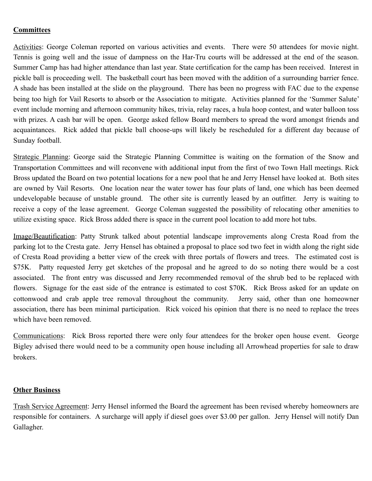# **Committees**

Activities: George Coleman reported on various activities and events. There were 50 attendees for movie night. Tennis is going well and the issue of dampness on the Har-Tru courts will be addressed at the end of the season. Summer Camp has had higher attendance than last year. State certification for the camp has been received. Interest in pickle ball is proceeding well. The basketball court has been moved with the addition of a surrounding barrier fence. A shade has been installed at the slide on the playground. There has been no progress with FAC due to the expense being too high for Vail Resorts to absorb or the Association to mitigate. Activities planned for the 'Summer Salute' event include morning and afternoon community hikes, trivia, relay races, a hula hoop contest, and water balloon toss with prizes. A cash bar will be open. George asked fellow Board members to spread the word amongst friends and acquaintances. Rick added that pickle ball choose-ups will likely be rescheduled for a different day because of Sunday football.

Strategic Planning: George said the Strategic Planning Committee is waiting on the formation of the Snow and Transportation Committees and will reconvene with additional input from the first of two Town Hall meetings. Rick Bross updated the Board on two potential locations for a new pool that he and Jerry Hensel have looked at. Both sites are owned by Vail Resorts. One location near the water tower has four plats of land, one which has been deemed undevelopable because of unstable ground. The other site is currently leased by an outfitter. Jerry is waiting to receive a copy of the lease agreement. George Coleman suggested the possibility of relocating other amenities to utilize existing space. Rick Bross added there is space in the current pool location to add more hot tubs.

Image/Beautification: Patty Strunk talked about potential landscape improvements along Cresta Road from the parking lot to the Cresta gate. Jerry Hensel has obtained a proposal to place sod two feet in width along the right side of Cresta Road providing a better view of the creek with three portals of flowers and trees. The estimated cost is \$75K. Patty requested Jerry get sketches of the proposal and he agreed to do so noting there would be a cost associated. The front entry was discussed and Jerry recommended removal of the shrub bed to be replaced with flowers. Signage for the east side of the entrance is estimated to cost \$70K. Rick Bross asked for an update on cottonwood and crab apple tree removal throughout the community. Jerry said, other than one homeowner association, there has been minimal participation. Rick voiced his opinion that there is no need to replace the trees which have been removed.

Communications: Rick Bross reported there were only four attendees for the broker open house event. George Bigley advised there would need to be a community open house including all Arrowhead properties for sale to draw brokers.

# **Other Business**

Trash Service Agreement: Jerry Hensel informed the Board the agreement has been revised whereby homeowners are responsible for containers. A surcharge will apply if diesel goes over \$3.00 per gallon. Jerry Hensel will notify Dan Gallagher.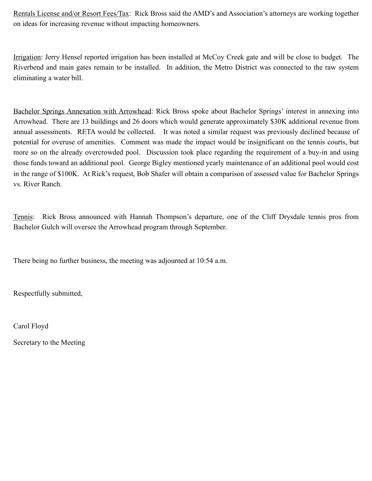Rentals License and/or Resort Fees/Tax: Rick Bross said the AMD's and Association's attorneys are working together on ideas for increasing revenue without impacting homeowners.

Irrigation: Jerry Hensel reported irrigation has been installed at McCoy Creek gate and will be close to budget. The Riverbend and main gates remain to be installed. In addition, the Metro District was connected to the raw system eliminating a water bill.

Bachelor Springs Annexation with Arrowhead: Rick Bross spoke about Bachelor Springs' interest in annexing into Arrowhead. There are 13 buildings and 26 doors which would generate approximately \$30K additional revenue from annual assessments. RETA would be collected. It was noted a similar request was previously declined because of potential for overuse of amenities. Comment was made the impact would be insignificant on the tennis courts, but more so on the already overcrowded pool. Discussion took place regarding the requirement of a buy-in and using those funds toward an additional pool. George Bigley mentioned yearly maintenance of an additional pool would cost in the range of \$100K. At Rick's request, Bob Shafer will obtain a comparison of assessed value for Bachelor Springs vs. River Ranch.

Tennis: Rick Bross announced with Hannah Thompson's departure, one of the Cliff Drysdale tennis pros from Bachelor Gulch will oversee the Arrowhead program through September.

There being no further business, the meeting was adjourned at 10:54 a.m.

Respectfully submitted,

Carol Floyd

Secretary to the Meeting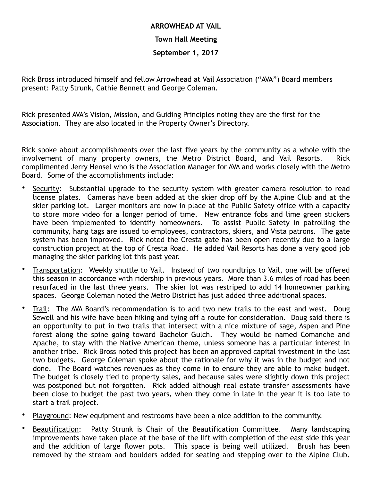# **ARROWHEAD AT VAIL Town Hall Meeting September 1, 2017**

Rick Bross introduced himself and fellow Arrowhead at Vail Association ("AVA") Board members present: Patty Strunk, Cathie Bennett and George Coleman.

Rick presented AVA's Vision, Mission, and Guiding Principles noting they are the first for the Association. They are also located in the Property Owner's Directory.

Rick spoke about accomplishments over the last five years by the community as a whole with the involvement of many property owners, the Metro District Board, and Vail Resorts. Rick complimented Jerry Hensel who is the Association Manager for AVA and works closely with the Metro Board. Some of the accomplishments include:

- Security: Substantial upgrade to the security system with greater camera resolution to read license plates. Cameras have been added at the skier drop off by the Alpine Club and at the skier parking lot. Larger monitors are now in place at the Public Safety office with a capacity to store more video for a longer period of time. New entrance fobs and lime green stickers have been implemented to identify homeowners. To assist Public Safety in patrolling the community, hang tags are issued to employees, contractors, skiers, and Vista patrons. The gate system has been improved. Rick noted the Cresta gate has been open recently due to a large construction project at the top of Cresta Road. He added Vail Resorts has done a very good job managing the skier parking lot this past year.
- Transportation: Weekly shuttle to Vail. Instead of two roundtrips to Vail, one will be offered this season in accordance with ridership in previous years. More than 3.6 miles of road has been resurfaced in the last three years. The skier lot was restriped to add 14 homeowner parking spaces. George Coleman noted the Metro District has just added three additional spaces.
- Trail: The AVA Board's recommendation is to add two new trails to the east and west. Doug Sewell and his wife have been hiking and tying off a route for consideration. Doug said there is an opportunity to put in two trails that intersect with a nice mixture of sage, Aspen and Pine forest along the spine going toward Bachelor Gulch. They would be named Comanche and Apache, to stay with the Native American theme, unless someone has a particular interest in another tribe. Rick Bross noted this project has been an approved capital investment in the last two budgets. George Coleman spoke about the rationale for why it was in the budget and not done. The Board watches revenues as they come in to ensure they are able to make budget. The budget is closely tied to property sales, and because sales were slightly down this project was postponed but not forgotten. Rick added although real estate transfer assessments have been close to budget the past two years, when they come in late in the year it is too late to start a trail project.
- Playground: New equipment and restrooms have been a nice addition to the community.
- Beautification: Patty Strunk is Chair of the Beautification Committee. Many landscaping improvements have taken place at the base of the lift with completion of the east side this year and the addition of large flower pots. This space is being well utilized. Brush has been removed by the stream and boulders added for seating and stepping over to the Alpine Club.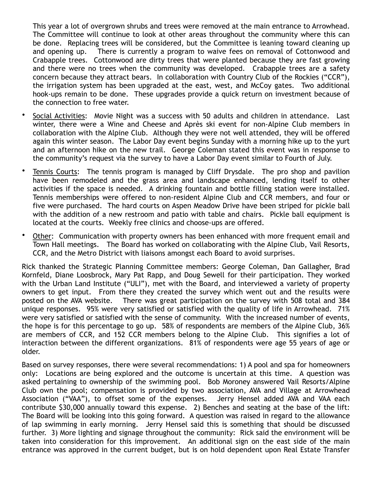This year a lot of overgrown shrubs and trees were removed at the main entrance to Arrowhead. The Committee will continue to look at other areas throughout the community where this can be done. Replacing trees will be considered, but the Committee is leaning toward cleaning up and opening up. There is currently a program to waive fees on removal of Cottonwood and Crabapple trees. Cottonwood are dirty trees that were planted because they are fast growing and there were no trees when the community was developed. Crabapple trees are a safety concern because they attract bears. In collaboration with Country Club of the Rockies ("CCR"), the irrigation system has been upgraded at the east, west, and McCoy gates. Two additional hook-ups remain to be done. These upgrades provide a quick return on investment because of the connection to free water.

- Social Activities: Movie Night was a success with 50 adults and children in attendance. Last winter, there were a Wine and Cheese and Après ski event for non-Alpine Club members in collaboration with the Alpine Club. Although they were not well attended, they will be offered again this winter season. The Labor Day event begins Sunday with a morning hike up to the yurt and an afternoon hike on the new trail. George Coleman stated this event was in response to the community's request via the survey to have a Labor Day event similar to Fourth of July.
- Tennis Courts: The tennis program is managed by Cliff Drysdale. The pro shop and pavilion have been remodeled and the grass area and landscape enhanced, lending itself to other activities if the space is needed. A drinking fountain and bottle filling station were installed. Tennis memberships were offered to non-resident Alpine Club and CCR members, and four or five were purchased. The hard courts on Aspen Meadow Drive have been striped for pickle ball with the addition of a new restroom and patio with table and chairs. Pickle ball equipment is located at the courts. Weekly free clinics and choose-ups are offered.
- Other: Communication with property owners has been enhanced with more frequent email and Town Hall meetings. The Board has worked on collaborating with the Alpine Club, Vail Resorts, CCR, and the Metro District with liaisons amongst each Board to avoid surprises.

Rick thanked the Strategic Planning Committee members: George Coleman, Dan Gallagher, Brad Kornfeld, Diane Loosbrock, Mary Pat Rapp, and Doug Sewell for their participation. They worked with the Urban Land Institute ("ULI"), met with the Board, and interviewed a variety of property owners to get input. From there they created the survey which went out and the results were posted on the AVA website. There was great participation on the survey with 508 total and 384 unique responses. 95% were very satisfied or satisfied with the quality of life in Arrowhead. 71% were very satisfied or satisfied with the sense of community. With the increased number of events, the hope is for this percentage to go up. 58% of respondents are members of the Alpine Club, 36% are members of CCR, and 152 CCR members belong to the Alpine Club. This signifies a lot of interaction between the different organizations. 81% of respondents were age 55 years of age or older.

Based on survey responses, there were several recommendations: 1) A pool and spa for homeowners only: Locations are being explored and the outcome is uncertain at this time. A question was asked pertaining to ownership of the swimming pool. Bob Moroney answered Vail Resorts/Alpine Club own the pool; compensation is provided by two association, AVA and Village at Arrowhead Association ("VAA"), to offset some of the expenses. Jerry Hensel added AVA and VAA each contribute \$30,000 annually toward this expense. 2) Benches and seating at the base of the lift: The Board will be looking into this going forward. A question was raised in regard to the allowance of lap swimming in early morning. Jerry Hensel said this is something that should be discussed further. 3) More lighting and signage throughout the community: Rick said the environment will be taken into consideration for this improvement. An additional sign on the east side of the main entrance was approved in the current budget, but is on hold dependent upon Real Estate Transfer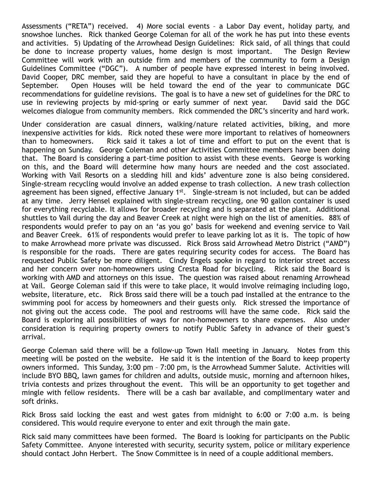Assessments ("RETA") received. 4) More social events – a Labor Day event, holiday party, and snowshoe lunches. Rick thanked George Coleman for all of the work he has put into these events and activities. 5) Updating of the Arrowhead Design Guidelines: Rick said, of all things that could be done to increase property values, home design is most important. The Design Review Committee will work with an outside firm and members of the community to form a Design Guidelines Committee ("DGC"). A number of people have expressed interest in being involved. David Cooper, DRC member, said they are hopeful to have a consultant in place by the end of September. Open Houses will be held toward the end of the year to communicate DGC recommendations for guideline revisions. The goal is to have a new set of guidelines for the DRC to use in reviewing projects by mid-spring or early summer of next year. David said the DGC welcomes dialogue from community members. Rick commended the DRC's sincerity and hard work.

Under consideration are casual dinners, walking/nature related activities, biking, and more inexpensive activities for kids. Rick noted these were more important to relatives of homeowners than to homeowners. Rick said it takes a lot of time and effort to put on the event that is happening on Sunday. George Coleman and other Activities Committee members have been doing that. The Board is considering a part-time position to assist with these events. George is working on this, and the Board will determine how many hours are needed and the cost associated. Working with Vail Resorts on a sledding hill and kids' adventure zone is also being considered. Single-stream recycling would involve an added expense to trash collection. A new trash collection agreement has been signed, effective January 1<sup>st</sup>. Single-stream is not included, but can be added at any time. Jerry Hensel explained with single-stream recycling, one 90 gallon container is used for everything recyclable. It allows for broader recycling and is separated at the plant. Additional shuttles to Vail during the day and Beaver Creek at night were high on the list of amenities. 88% of respondents would prefer to pay on an 'as you go' basis for weekend and evening service to Vail and Beaver Creek. 61% of respondents would prefer to leave parking lot as it is. The topic of how to make Arrowhead more private was discussed. Rick Bross said Arrowhead Metro District ("AMD") is responsible for the roads. There are gates requiring security codes for access. The Board has requested Public Safety be more diligent. Cindy Engels spoke in regard to interior street access and her concern over non-homeowners using Cresta Road for bicycling. Rick said the Board is working with AMD and attorneys on this issue. The question was raised about renaming Arrowhead at Vail. George Coleman said if this were to take place, it would involve reimaging including logo, website, literature, etc. Rick Bross said there will be a touch pad installed at the entrance to the swimming pool for access by homeowners and their guests only. Rick stressed the importance of not giving out the access code. The pool and restrooms will have the same code. Rick said the Board is exploring all possibilities of ways for non-homeowners to share expenses. Also under consideration is requiring property owners to notify Public Safety in advance of their guest's arrival.

George Coleman said there will be a follow-up Town Hall meeting in January. Notes from this meeting will be posted on the website. He said it is the intention of the Board to keep property owners informed. This Sunday, 3:00 pm – 7:00 pm, is the Arrowhead Summer Salute. Activities will include BYO BBQ, lawn games for children and adults, outside music, morning and afternoon hikes, trivia contests and prizes throughout the event. This will be an opportunity to get together and mingle with fellow residents. There will be a cash bar available, and complimentary water and soft drinks.

Rick Bross said locking the east and west gates from midnight to 6:00 or 7:00 a.m. is being considered. This would require everyone to enter and exit through the main gate.

Rick said many committees have been formed. The Board is looking for participants on the Public Safety Committee. Anyone interested with security, security system, police or military experience should contact John Herbert. The Snow Committee is in need of a couple additional members.